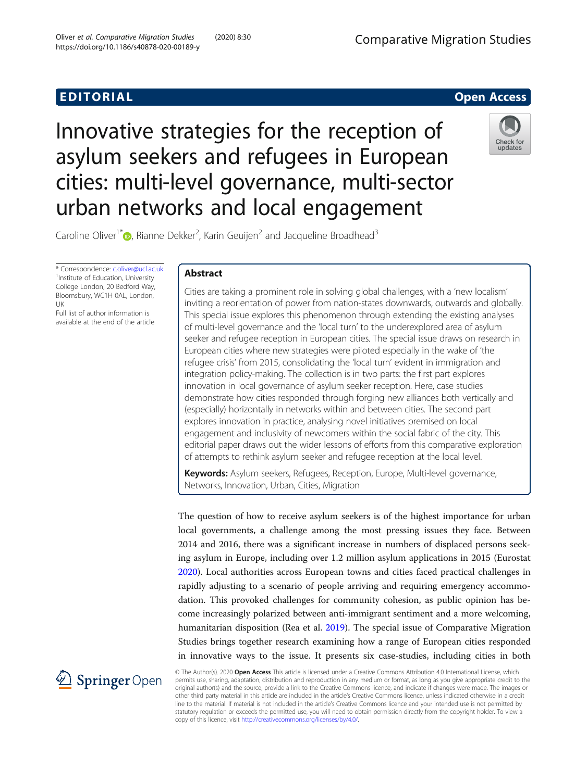# **EDITORIAL** CONTROL CONTROL CONTROL CONTROL CONTROL CONTROL CONTROL CONTROL CONTROL CONTROL CONTROL CONTROL CONTROL CONTROL CONTROL CONTROL CONTROL CONTROL CONTROL CONTROL CONTROL CONTROL CONTROL CONTROL CONTROL CONTROL CO

# Innovative strategies for the reception of asylum seekers and refugees in European cities: multi-level governance, multi-sector urban networks and local engagement



Caroline Oliver<sup>1\*</sup> $\bullet$ [,](http://orcid.org/0000-0001-5280-9838) Rianne Dekker<sup>2</sup>, Karin Geuijen<sup>2</sup> and Jacqueline Broadhead<sup>3</sup>

\* Correspondence: [c.oliver@ucl.ac.uk](mailto:c.oliver@ucl.ac.uk) <sup>1</sup> <sup>1</sup>Institute of Education, University College London, 20 Bedford Way, Bloomsbury, WC1H 0AL, London, UK

Full list of author information is available at the end of the article

# Abstract

Cities are taking a prominent role in solving global challenges, with a 'new localism' inviting a reorientation of power from nation-states downwards, outwards and globally. This special issue explores this phenomenon through extending the existing analyses of multi-level governance and the 'local turn' to the underexplored area of asylum seeker and refugee reception in European cities. The special issue draws on research in European cities where new strategies were piloted especially in the wake of 'the refugee crisis' from 2015, consolidating the 'local turn' evident in immigration and integration policy-making. The collection is in two parts: the first part explores innovation in local governance of asylum seeker reception. Here, case studies demonstrate how cities responded through forging new alliances both vertically and (especially) horizontally in networks within and between cities. The second part explores innovation in practice, analysing novel initiatives premised on local engagement and inclusivity of newcomers within the social fabric of the city. This editorial paper draws out the wider lessons of efforts from this comparative exploration of attempts to rethink asylum seeker and refugee reception at the local level.

Keywords: Asylum seekers, Refugees, Reception, Europe, Multi-level governance, Networks, Innovation, Urban, Cities, Migration

The question of how to receive asylum seekers is of the highest importance for urban local governments, a challenge among the most pressing issues they face. Between 2014 and 2016, there was a significant increase in numbers of displaced persons seeking asylum in Europe, including over 1.2 million asylum applications in 2015 (Eurostat [2020](#page-12-0)). Local authorities across European towns and cities faced practical challenges in rapidly adjusting to a scenario of people arriving and requiring emergency accommodation. This provoked challenges for community cohesion, as public opinion has become increasingly polarized between anti-immigrant sentiment and a more welcoming, humanitarian disposition (Rea et al. [2019](#page-13-0)). The special issue of Comparative Migration Studies brings together research examining how a range of European cities responded in innovative ways to the issue. It presents six case-studies, including cities in both



© The Author(s). 2020 Open Access This article is licensed under a Creative Commons Attribution 4.0 International License, which permits use, sharing, adaptation, distribution and reproduction in any medium or format, as long as you give appropriate credit to the original author(s) and the source, provide a link to the Creative Commons licence, and indicate if changes were made. The images or other third party material in this article are included in the article's Creative Commons licence, unless indicated otherwise in a credit line to the material. If material is not included in the article's Creative Commons licence and your intended use is not permitted by statutory regulation or exceeds the permitted use, you will need to obtain permission directly from the copyright holder. To view a copy of this licence, visit <http://creativecommons.org/licenses/by/4.0/>.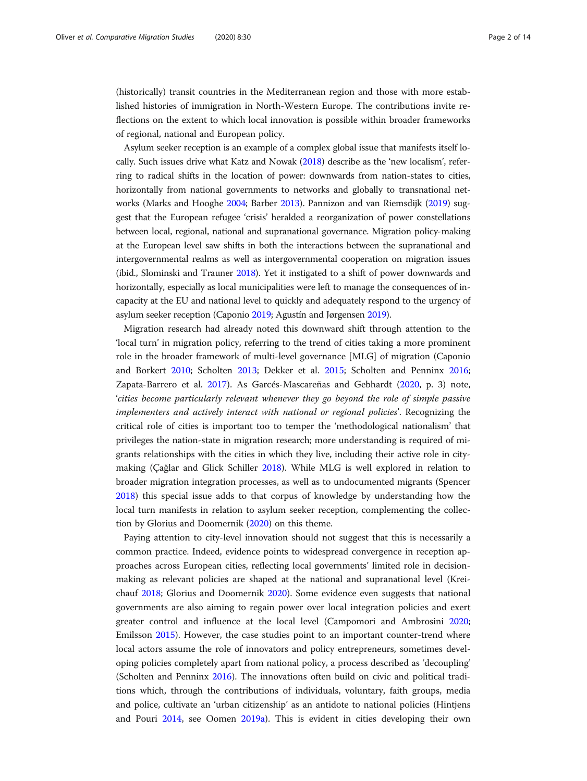(historically) transit countries in the Mediterranean region and those with more established histories of immigration in North-Western Europe. The contributions invite reflections on the extent to which local innovation is possible within broader frameworks of regional, national and European policy.

Asylum seeker reception is an example of a complex global issue that manifests itself locally. Such issues drive what Katz and Nowak [\(2018](#page-13-0)) describe as the 'new localism', referring to radical shifts in the location of power: downwards from nation-states to cities, horizontally from national governments to networks and globally to transnational networks (Marks and Hooghe [2004](#page-13-0); Barber [2013](#page-12-0)). Pannizon and van Riemsdijk ([2019](#page-13-0)) suggest that the European refugee 'crisis' heralded a reorganization of power constellations between local, regional, national and supranational governance. Migration policy-making at the European level saw shifts in both the interactions between the supranational and intergovernmental realms as well as intergovernmental cooperation on migration issues (ibid., Slominski and Trauner [2018](#page-13-0)). Yet it instigated to a shift of power downwards and horizontally, especially as local municipalities were left to manage the consequences of incapacity at the EU and national level to quickly and adequately respond to the urgency of asylum seeker reception (Caponio [2019](#page-12-0); Agustín and Jørgensen [2019](#page-12-0)).

Migration research had already noted this downward shift through attention to the 'local turn' in migration policy, referring to the trend of cities taking a more prominent role in the broader framework of multi-level governance [MLG] of migration (Caponio and Borkert [2010](#page-12-0); Scholten [2013;](#page-13-0) Dekker et al. [2015](#page-12-0); Scholten and Penninx [2016](#page-13-0); Zapata-Barrero et al. [2017](#page-13-0)). As Garcés-Mascareñas and Gebhardt ([2020,](#page-12-0) p. 3) note, 'cities become particularly relevant whenever they go beyond the role of simple passive implementers and actively interact with national or regional policies'. Recognizing the critical role of cities is important too to temper the 'methodological nationalism' that privileges the nation-state in migration research; more understanding is required of migrants relationships with the cities in which they live, including their active role in citymaking (Çağlar and Glick Schiller [2018\)](#page-12-0). While MLG is well explored in relation to broader migration integration processes, as well as to undocumented migrants (Spencer [2018](#page-13-0)) this special issue adds to that corpus of knowledge by understanding how the local turn manifests in relation to asylum seeker reception, complementing the collection by Glorius and Doomernik [\(2020\)](#page-13-0) on this theme.

Paying attention to city-level innovation should not suggest that this is necessarily a common practice. Indeed, evidence points to widespread convergence in reception approaches across European cities, reflecting local governments' limited role in decisionmaking as relevant policies are shaped at the national and supranational level (Kreichauf [2018](#page-13-0); Glorius and Doomernik [2020](#page-13-0)). Some evidence even suggests that national governments are also aiming to regain power over local integration policies and exert greater control and influence at the local level (Campomori and Ambrosini [2020](#page-12-0); Emilsson [2015\)](#page-12-0). However, the case studies point to an important counter-trend where local actors assume the role of innovators and policy entrepreneurs, sometimes developing policies completely apart from national policy, a process described as 'decoupling' (Scholten and Penninx [2016](#page-13-0)). The innovations often build on civic and political traditions which, through the contributions of individuals, voluntary, faith groups, media and police, cultivate an 'urban citizenship' as an antidote to national policies (Hintjens and Pouri [2014](#page-13-0), see Oomen [2019a\)](#page-13-0). This is evident in cities developing their own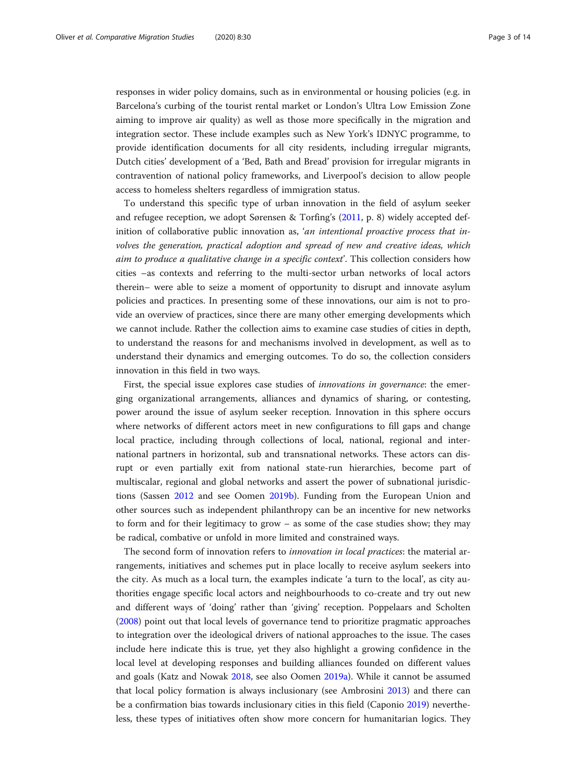responses in wider policy domains, such as in environmental or housing policies (e.g. in Barcelona's curbing of the tourist rental market or London's Ultra Low Emission Zone aiming to improve air quality) as well as those more specifically in the migration and integration sector. These include examples such as New York's IDNYC programme, to provide identification documents for all city residents, including irregular migrants, Dutch cities' development of a 'Bed, Bath and Bread' provision for irregular migrants in contravention of national policy frameworks, and Liverpool's decision to allow people access to homeless shelters regardless of immigration status.

To understand this specific type of urban innovation in the field of asylum seeker and refugee reception, we adopt Sørensen & Torfing's ([2011,](#page-13-0) p. 8) widely accepted definition of collaborative public innovation as, 'an intentional proactive process that involves the generation, practical adoption and spread of new and creative ideas, which aim to produce a qualitative change in a specific context'. This collection considers how cities –as contexts and referring to the multi-sector urban networks of local actors therein– were able to seize a moment of opportunity to disrupt and innovate asylum policies and practices. In presenting some of these innovations, our aim is not to provide an overview of practices, since there are many other emerging developments which we cannot include. Rather the collection aims to examine case studies of cities in depth, to understand the reasons for and mechanisms involved in development, as well as to understand their dynamics and emerging outcomes. To do so, the collection considers innovation in this field in two ways.

First, the special issue explores case studies of innovations in governance: the emerging organizational arrangements, alliances and dynamics of sharing, or contesting, power around the issue of asylum seeker reception. Innovation in this sphere occurs where networks of different actors meet in new configurations to fill gaps and change local practice, including through collections of local, national, regional and international partners in horizontal, sub and transnational networks. These actors can disrupt or even partially exit from national state-run hierarchies, become part of multiscalar, regional and global networks and assert the power of subnational jurisdictions (Sassen [2012](#page-13-0) and see Oomen [2019b](#page-13-0)). Funding from the European Union and other sources such as independent philanthropy can be an incentive for new networks to form and for their legitimacy to grow – as some of the case studies show; they may be radical, combative or unfold in more limited and constrained ways.

The second form of innovation refers to *innovation in local practices*: the material arrangements, initiatives and schemes put in place locally to receive asylum seekers into the city. As much as a local turn, the examples indicate 'a turn to the local', as city authorities engage specific local actors and neighbourhoods to co-create and try out new and different ways of 'doing' rather than 'giving' reception. Poppelaars and Scholten ([2008](#page-13-0)) point out that local levels of governance tend to prioritize pragmatic approaches to integration over the ideological drivers of national approaches to the issue. The cases include here indicate this is true, yet they also highlight a growing confidence in the local level at developing responses and building alliances founded on different values and goals (Katz and Nowak [2018,](#page-13-0) see also Oomen [2019a\)](#page-13-0). While it cannot be assumed that local policy formation is always inclusionary (see Ambrosini [2013\)](#page-12-0) and there can be a confirmation bias towards inclusionary cities in this field (Caponio [2019\)](#page-12-0) nevertheless, these types of initiatives often show more concern for humanitarian logics. They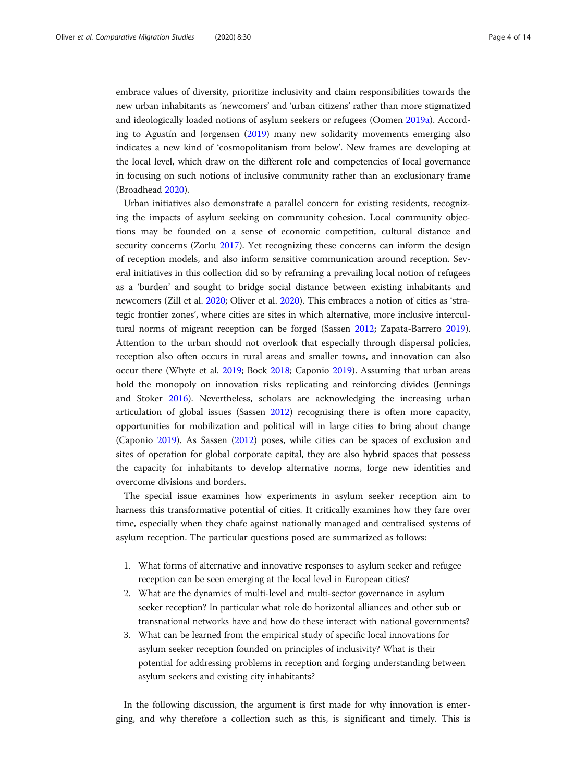embrace values of diversity, prioritize inclusivity and claim responsibilities towards the new urban inhabitants as 'newcomers' and 'urban citizens' rather than more stigmatized and ideologically loaded notions of asylum seekers or refugees (Oomen [2019a](#page-13-0)). According to Agustín and Jørgensen ([2019](#page-12-0)) many new solidarity movements emerging also indicates a new kind of 'cosmopolitanism from below'. New frames are developing at the local level, which draw on the different role and competencies of local governance in focusing on such notions of inclusive community rather than an exclusionary frame (Broadhead [2020\)](#page-12-0).

Urban initiatives also demonstrate a parallel concern for existing residents, recognizing the impacts of asylum seeking on community cohesion. Local community objections may be founded on a sense of economic competition, cultural distance and security concerns (Zorlu [2017\)](#page-13-0). Yet recognizing these concerns can inform the design of reception models, and also inform sensitive communication around reception. Several initiatives in this collection did so by reframing a prevailing local notion of refugees as a 'burden' and sought to bridge social distance between existing inhabitants and newcomers (Zill et al. [2020;](#page-13-0) Oliver et al. [2020\)](#page-13-0). This embraces a notion of cities as 'strategic frontier zones', where cities are sites in which alternative, more inclusive intercultural norms of migrant reception can be forged (Sassen [2012;](#page-13-0) Zapata-Barrero [2019](#page-13-0)). Attention to the urban should not overlook that especially through dispersal policies, reception also often occurs in rural areas and smaller towns, and innovation can also occur there (Whyte et al. [2019](#page-13-0); Bock [2018](#page-12-0); Caponio [2019](#page-12-0)). Assuming that urban areas hold the monopoly on innovation risks replicating and reinforcing divides (Jennings and Stoker [2016\)](#page-13-0). Nevertheless, scholars are acknowledging the increasing urban articulation of global issues (Sassen [2012](#page-13-0)) recognising there is often more capacity, opportunities for mobilization and political will in large cities to bring about change (Caponio [2019](#page-12-0)). As Sassen [\(2012\)](#page-13-0) poses, while cities can be spaces of exclusion and sites of operation for global corporate capital, they are also hybrid spaces that possess the capacity for inhabitants to develop alternative norms, forge new identities and overcome divisions and borders.

The special issue examines how experiments in asylum seeker reception aim to harness this transformative potential of cities. It critically examines how they fare over time, especially when they chafe against nationally managed and centralised systems of asylum reception. The particular questions posed are summarized as follows:

- 1. What forms of alternative and innovative responses to asylum seeker and refugee reception can be seen emerging at the local level in European cities?
- 2. What are the dynamics of multi-level and multi-sector governance in asylum seeker reception? In particular what role do horizontal alliances and other sub or transnational networks have and how do these interact with national governments?
- 3. What can be learned from the empirical study of specific local innovations for asylum seeker reception founded on principles of inclusivity? What is their potential for addressing problems in reception and forging understanding between asylum seekers and existing city inhabitants?

In the following discussion, the argument is first made for why innovation is emerging, and why therefore a collection such as this, is significant and timely. This is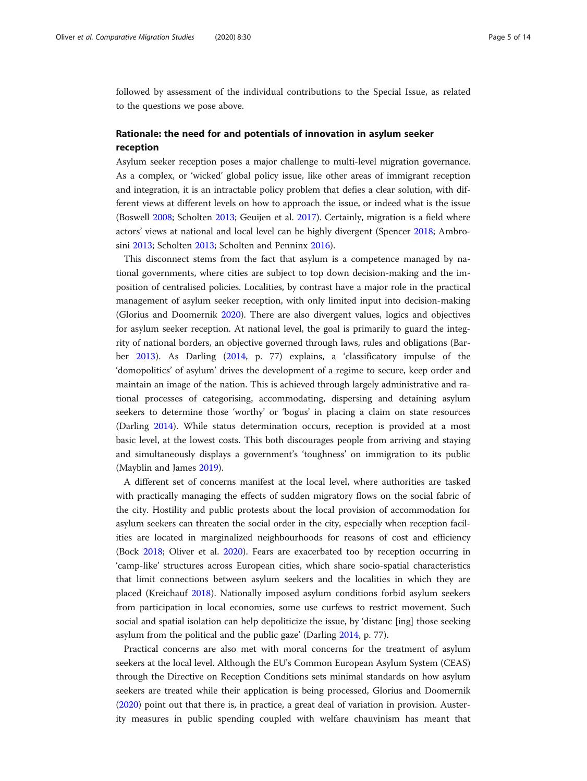followed by assessment of the individual contributions to the Special Issue, as related to the questions we pose above.

## Rationale: the need for and potentials of innovation in asylum seeker reception

Asylum seeker reception poses a major challenge to multi-level migration governance. As a complex, or 'wicked' global policy issue, like other areas of immigrant reception and integration, it is an intractable policy problem that defies a clear solution, with different views at different levels on how to approach the issue, or indeed what is the issue (Boswell [2008;](#page-12-0) Scholten [2013](#page-13-0); Geuijen et al. [2017](#page-12-0)). Certainly, migration is a field where actors' views at national and local level can be highly divergent (Spencer [2018;](#page-13-0) Ambrosini [2013;](#page-12-0) Scholten [2013;](#page-13-0) Scholten and Penninx [2016](#page-13-0)).

This disconnect stems from the fact that asylum is a competence managed by national governments, where cities are subject to top down decision-making and the imposition of centralised policies. Localities, by contrast have a major role in the practical management of asylum seeker reception, with only limited input into decision-making (Glorius and Doomernik [2020](#page-13-0)). There are also divergent values, logics and objectives for asylum seeker reception. At national level, the goal is primarily to guard the integrity of national borders, an objective governed through laws, rules and obligations (Barber [2013\)](#page-12-0). As Darling ([2014](#page-12-0), p. 77) explains, a 'classificatory impulse of the 'domopolitics' of asylum' drives the development of a regime to secure, keep order and maintain an image of the nation. This is achieved through largely administrative and rational processes of categorising, accommodating, dispersing and detaining asylum seekers to determine those 'worthy' or 'bogus' in placing a claim on state resources (Darling [2014\)](#page-12-0). While status determination occurs, reception is provided at a most basic level, at the lowest costs. This both discourages people from arriving and staying and simultaneously displays a government's 'toughness' on immigration to its public (Mayblin and James [2019\)](#page-13-0).

A different set of concerns manifest at the local level, where authorities are tasked with practically managing the effects of sudden migratory flows on the social fabric of the city. Hostility and public protests about the local provision of accommodation for asylum seekers can threaten the social order in the city, especially when reception facilities are located in marginalized neighbourhoods for reasons of cost and efficiency (Bock [2018](#page-12-0); Oliver et al. [2020](#page-13-0)). Fears are exacerbated too by reception occurring in 'camp-like' structures across European cities, which share socio-spatial characteristics that limit connections between asylum seekers and the localities in which they are placed (Kreichauf [2018](#page-13-0)). Nationally imposed asylum conditions forbid asylum seekers from participation in local economies, some use curfews to restrict movement. Such social and spatial isolation can help depoliticize the issue, by 'distanc [ing] those seeking asylum from the political and the public gaze' (Darling [2014](#page-12-0), p. 77).

Practical concerns are also met with moral concerns for the treatment of asylum seekers at the local level. Although the EU's Common European Asylum System (CEAS) through the Directive on Reception Conditions sets minimal standards on how asylum seekers are treated while their application is being processed, Glorius and Doomernik ([2020](#page-13-0)) point out that there is, in practice, a great deal of variation in provision. Austerity measures in public spending coupled with welfare chauvinism has meant that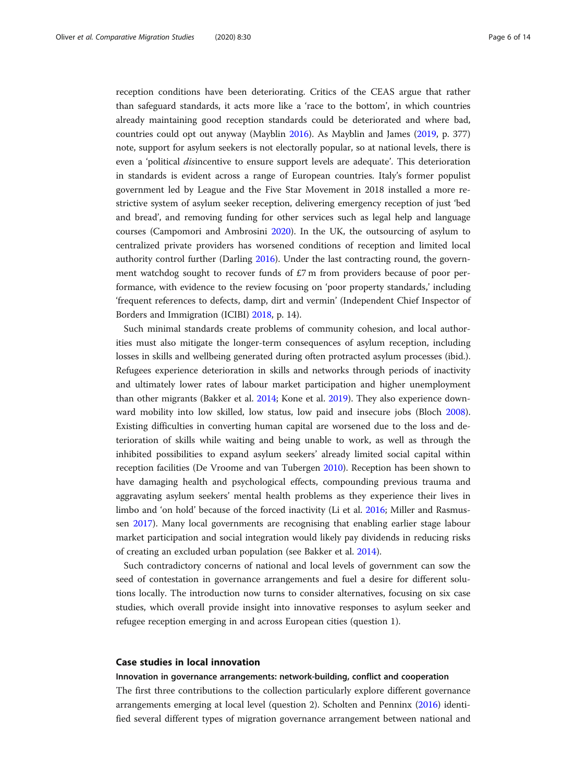reception conditions have been deteriorating. Critics of the CEAS argue that rather than safeguard standards, it acts more like a 'race to the bottom', in which countries already maintaining good reception standards could be deteriorated and where bad, countries could opt out anyway (Mayblin [2016](#page-13-0)). As Mayblin and James [\(2019,](#page-13-0) p. 377) note, support for asylum seekers is not electorally popular, so at national levels, there is even a 'political disincentive to ensure support levels are adequate'. This deterioration in standards is evident across a range of European countries. Italy's former populist government led by League and the Five Star Movement in 2018 installed a more restrictive system of asylum seeker reception, delivering emergency reception of just 'bed and bread', and removing funding for other services such as legal help and language courses (Campomori and Ambrosini [2020](#page-12-0)). In the UK, the outsourcing of asylum to centralized private providers has worsened conditions of reception and limited local authority control further (Darling [2016](#page-12-0)). Under the last contracting round, the government watchdog sought to recover funds of £7 m from providers because of poor performance, with evidence to the review focusing on 'poor property standards,' including 'frequent references to defects, damp, dirt and vermin' (Independent Chief Inspector of Borders and Immigration (ICIBI) [2018,](#page-13-0) p. 14).

Such minimal standards create problems of community cohesion, and local authorities must also mitigate the longer-term consequences of asylum reception, including losses in skills and wellbeing generated during often protracted asylum processes (ibid.). Refugees experience deterioration in skills and networks through periods of inactivity and ultimately lower rates of labour market participation and higher unemployment than other migrants (Bakker et al. [2014](#page-12-0); Kone et al. [2019](#page-13-0)). They also experience downward mobility into low skilled, low status, low paid and insecure jobs (Bloch [2008](#page-12-0)). Existing difficulties in converting human capital are worsened due to the loss and deterioration of skills while waiting and being unable to work, as well as through the inhibited possibilities to expand asylum seekers' already limited social capital within reception facilities (De Vroome and van Tubergen [2010](#page-12-0)). Reception has been shown to have damaging health and psychological effects, compounding previous trauma and aggravating asylum seekers' mental health problems as they experience their lives in limbo and 'on hold' because of the forced inactivity (Li et al. [2016;](#page-13-0) Miller and Rasmussen [2017\)](#page-13-0). Many local governments are recognising that enabling earlier stage labour market participation and social integration would likely pay dividends in reducing risks of creating an excluded urban population (see Bakker et al. [2014](#page-12-0)).

Such contradictory concerns of national and local levels of government can sow the seed of contestation in governance arrangements and fuel a desire for different solutions locally. The introduction now turns to consider alternatives, focusing on six case studies, which overall provide insight into innovative responses to asylum seeker and refugee reception emerging in and across European cities (question 1).

#### Case studies in local innovation

#### Innovation in governance arrangements: network-building, conflict and cooperation

The first three contributions to the collection particularly explore different governance arrangements emerging at local level (question 2). Scholten and Penninx ([2016](#page-13-0)) identified several different types of migration governance arrangement between national and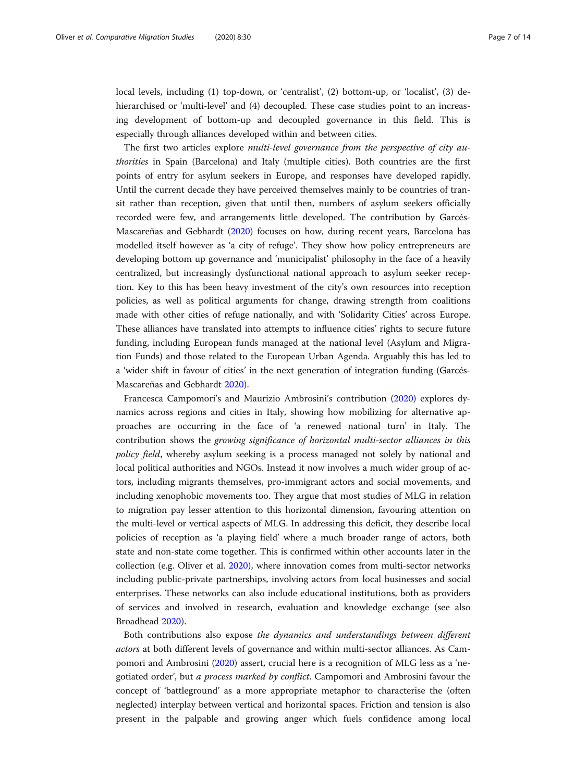local levels, including (1) top-down, or 'centralist', (2) bottom-up, or 'localist', (3) dehierarchised or 'multi-level' and (4) decoupled. These case studies point to an increasing development of bottom-up and decoupled governance in this field. This is especially through alliances developed within and between cities.

The first two articles explore multi-level governance from the perspective of city authorities in Spain (Barcelona) and Italy (multiple cities). Both countries are the first points of entry for asylum seekers in Europe, and responses have developed rapidly. Until the current decade they have perceived themselves mainly to be countries of transit rather than reception, given that until then, numbers of asylum seekers officially recorded were few, and arrangements little developed. The contribution by Garcés-Mascareñas and Gebhardt [\(2020\)](#page-12-0) focuses on how, during recent years, Barcelona has modelled itself however as 'a city of refuge'. They show how policy entrepreneurs are developing bottom up governance and 'municipalist' philosophy in the face of a heavily centralized, but increasingly dysfunctional national approach to asylum seeker reception. Key to this has been heavy investment of the city's own resources into reception policies, as well as political arguments for change, drawing strength from coalitions made with other cities of refuge nationally, and with 'Solidarity Cities' across Europe. These alliances have translated into attempts to influence cities' rights to secure future funding, including European funds managed at the national level (Asylum and Migration Funds) and those related to the European Urban Agenda. Arguably this has led to a 'wider shift in favour of cities' in the next generation of integration funding (Garcés-Mascareñas and Gebhardt [2020](#page-12-0)).

Francesca Campomori's and Maurizio Ambrosini's contribution ([2020](#page-12-0)) explores dynamics across regions and cities in Italy, showing how mobilizing for alternative approaches are occurring in the face of 'a renewed national turn' in Italy. The contribution shows the growing significance of horizontal multi-sector alliances in this policy field, whereby asylum seeking is a process managed not solely by national and local political authorities and NGOs. Instead it now involves a much wider group of actors, including migrants themselves, pro-immigrant actors and social movements, and including xenophobic movements too. They argue that most studies of MLG in relation to migration pay lesser attention to this horizontal dimension, favouring attention on the multi-level or vertical aspects of MLG. In addressing this deficit, they describe local policies of reception as 'a playing field' where a much broader range of actors, both state and non-state come together. This is confirmed within other accounts later in the collection (e.g. Oliver et al. [2020\)](#page-13-0), where innovation comes from multi-sector networks including public-private partnerships, involving actors from local businesses and social enterprises. These networks can also include educational institutions, both as providers of services and involved in research, evaluation and knowledge exchange (see also Broadhead [2020\)](#page-12-0).

Both contributions also expose the dynamics and understandings between different actors at both different levels of governance and within multi-sector alliances. As Campomori and Ambrosini [\(2020\)](#page-12-0) assert, crucial here is a recognition of MLG less as a 'negotiated order', but a process marked by conflict. Campomori and Ambrosini favour the concept of 'battleground' as a more appropriate metaphor to characterise the (often neglected) interplay between vertical and horizontal spaces. Friction and tension is also present in the palpable and growing anger which fuels confidence among local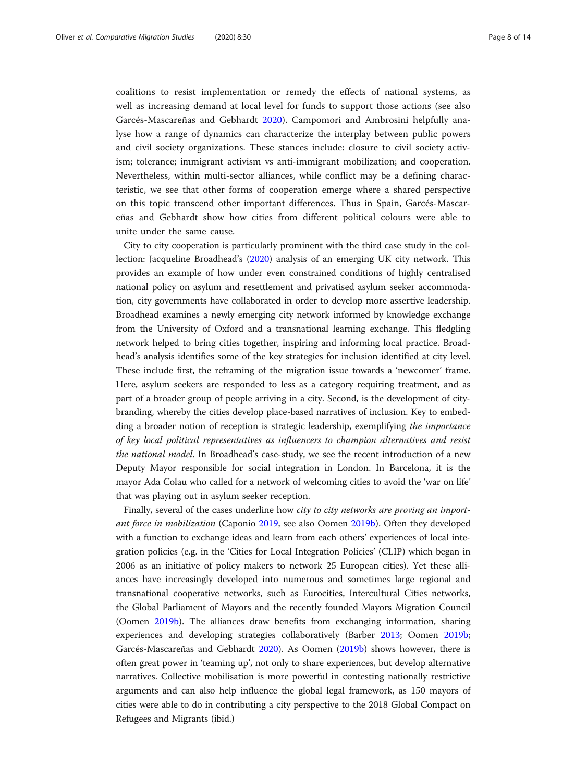coalitions to resist implementation or remedy the effects of national systems, as well as increasing demand at local level for funds to support those actions (see also Garcés-Mascareñas and Gebhardt [2020](#page-12-0)). Campomori and Ambrosini helpfully analyse how a range of dynamics can characterize the interplay between public powers and civil society organizations. These stances include: closure to civil society activism; tolerance; immigrant activism vs anti-immigrant mobilization; and cooperation. Nevertheless, within multi-sector alliances, while conflict may be a defining characteristic, we see that other forms of cooperation emerge where a shared perspective on this topic transcend other important differences. Thus in Spain, Garcés-Mascareñas and Gebhardt show how cities from different political colours were able to unite under the same cause.

City to city cooperation is particularly prominent with the third case study in the collection: Jacqueline Broadhead's ([2020](#page-12-0)) analysis of an emerging UK city network. This provides an example of how under even constrained conditions of highly centralised national policy on asylum and resettlement and privatised asylum seeker accommodation, city governments have collaborated in order to develop more assertive leadership. Broadhead examines a newly emerging city network informed by knowledge exchange from the University of Oxford and a transnational learning exchange. This fledgling network helped to bring cities together, inspiring and informing local practice. Broadhead's analysis identifies some of the key strategies for inclusion identified at city level. These include first, the reframing of the migration issue towards a 'newcomer' frame. Here, asylum seekers are responded to less as a category requiring treatment, and as part of a broader group of people arriving in a city. Second, is the development of citybranding, whereby the cities develop place-based narratives of inclusion. Key to embedding a broader notion of reception is strategic leadership, exemplifying the importance of key local political representatives as influencers to champion alternatives and resist the national model. In Broadhead's case-study, we see the recent introduction of a new Deputy Mayor responsible for social integration in London. In Barcelona, it is the mayor Ada Colau who called for a network of welcoming cities to avoid the 'war on life' that was playing out in asylum seeker reception.

Finally, several of the cases underline how city to city networks are proving an important force in mobilization (Caponio [2019](#page-12-0), see also Oomen [2019b](#page-13-0)). Often they developed with a function to exchange ideas and learn from each others' experiences of local integration policies (e.g. in the 'Cities for Local Integration Policies' (CLIP) which began in 2006 as an initiative of policy makers to network 25 European cities). Yet these alliances have increasingly developed into numerous and sometimes large regional and transnational cooperative networks, such as Eurocities, Intercultural Cities networks, the Global Parliament of Mayors and the recently founded Mayors Migration Council (Oomen [2019b\)](#page-13-0). The alliances draw benefits from exchanging information, sharing experiences and developing strategies collaboratively (Barber [2013](#page-12-0); Oomen [2019b](#page-13-0); Garcés-Mascareñas and Gebhardt [2020](#page-12-0)). As Oomen ([2019b](#page-13-0)) shows however, there is often great power in 'teaming up', not only to share experiences, but develop alternative narratives. Collective mobilisation is more powerful in contesting nationally restrictive arguments and can also help influence the global legal framework, as 150 mayors of cities were able to do in contributing a city perspective to the 2018 Global Compact on Refugees and Migrants (ibid.)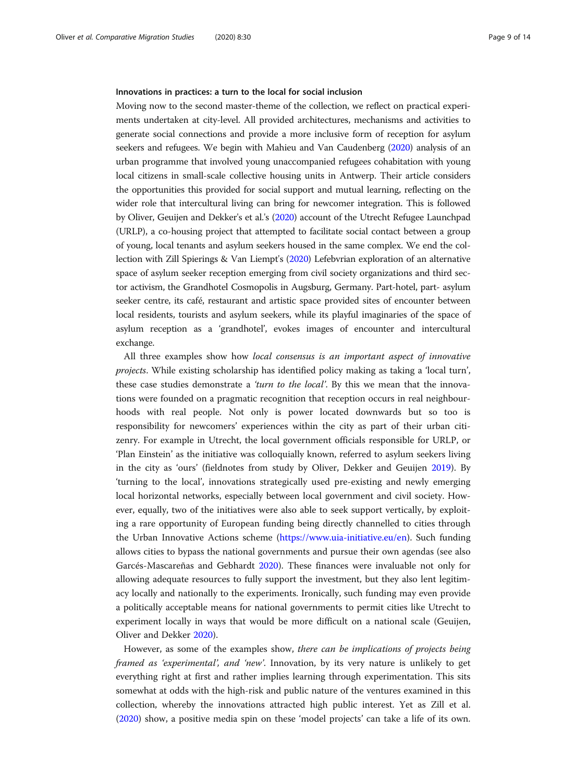#### Innovations in practices: a turn to the local for social inclusion

Moving now to the second master-theme of the collection, we reflect on practical experiments undertaken at city-level. All provided architectures, mechanisms and activities to generate social connections and provide a more inclusive form of reception for asylum seekers and refugees. We begin with Mahieu and Van Caudenberg ([2020](#page-13-0)) analysis of an urban programme that involved young unaccompanied refugees cohabitation with young local citizens in small-scale collective housing units in Antwerp. Their article considers the opportunities this provided for social support and mutual learning, reflecting on the wider role that intercultural living can bring for newcomer integration. This is followed by Oliver, Geuijen and Dekker's et al.'s [\(2020](#page-13-0)) account of the Utrecht Refugee Launchpad (URLP), a co-housing project that attempted to facilitate social contact between a group of young, local tenants and asylum seekers housed in the same complex. We end the collection with Zill Spierings & Van Liempt's ([2020\)](#page-13-0) Lefebvrian exploration of an alternative space of asylum seeker reception emerging from civil society organizations and third sector activism, the Grandhotel Cosmopolis in Augsburg, Germany. Part-hotel, part- asylum seeker centre, its café, restaurant and artistic space provided sites of encounter between local residents, tourists and asylum seekers, while its playful imaginaries of the space of asylum reception as a 'grandhotel', evokes images of encounter and intercultural exchange.

All three examples show how local consensus is an important aspect of innovative projects. While existing scholarship has identified policy making as taking a 'local turn', these case studies demonstrate a 'turn to the local'. By this we mean that the innovations were founded on a pragmatic recognition that reception occurs in real neighbourhoods with real people. Not only is power located downwards but so too is responsibility for newcomers' experiences within the city as part of their urban citizenry. For example in Utrecht, the local government officials responsible for URLP, or 'Plan Einstein' as the initiative was colloquially known, referred to asylum seekers living in the city as 'ours' (fieldnotes from study by Oliver, Dekker and Geuijen [2019\)](#page-13-0). By 'turning to the local', innovations strategically used pre-existing and newly emerging local horizontal networks, especially between local government and civil society. However, equally, two of the initiatives were also able to seek support vertically, by exploiting a rare opportunity of European funding being directly channelled to cities through the Urban Innovative Actions scheme ([https://www.uia-initiative.eu/en\)](https://www.uia-initiative.eu/en). Such funding allows cities to bypass the national governments and pursue their own agendas (see also Garcés-Mascareñas and Gebhardt [2020](#page-12-0)). These finances were invaluable not only for allowing adequate resources to fully support the investment, but they also lent legitimacy locally and nationally to the experiments. Ironically, such funding may even provide a politically acceptable means for national governments to permit cities like Utrecht to experiment locally in ways that would be more difficult on a national scale (Geuijen, Oliver and Dekker [2020\)](#page-12-0).

However, as some of the examples show, there can be implications of projects being framed as 'experimental', and 'new'. Innovation, by its very nature is unlikely to get everything right at first and rather implies learning through experimentation. This sits somewhat at odds with the high-risk and public nature of the ventures examined in this collection, whereby the innovations attracted high public interest. Yet as Zill et al. ([2020](#page-13-0)) show, a positive media spin on these 'model projects' can take a life of its own.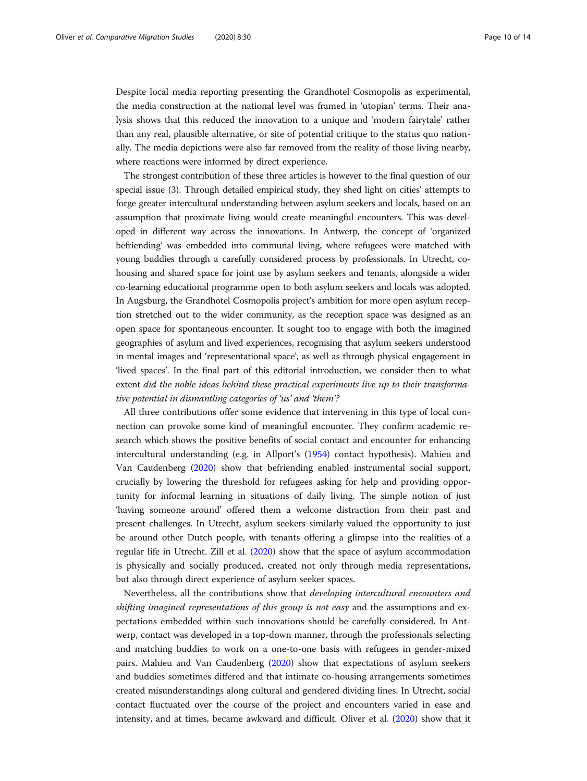Despite local media reporting presenting the Grandhotel Cosmopolis as experimental, the media construction at the national level was framed in 'utopian' terms. Their analysis shows that this reduced the innovation to a unique and 'modern fairytale' rather than any real, plausible alternative, or site of potential critique to the status quo nationally. The media depictions were also far removed from the reality of those living nearby, where reactions were informed by direct experience.

The strongest contribution of these three articles is however to the final question of our special issue (3). Through detailed empirical study, they shed light on cities' attempts to forge greater intercultural understanding between asylum seekers and locals, based on an assumption that proximate living would create meaningful encounters. This was developed in different way across the innovations. In Antwerp, the concept of 'organized befriending' was embedded into communal living, where refugees were matched with young buddies through a carefully considered process by professionals. In Utrecht, cohousing and shared space for joint use by asylum seekers and tenants, alongside a wider co-learning educational programme open to both asylum seekers and locals was adopted. In Augsburg, the Grandhotel Cosmopolis project's ambition for more open asylum reception stretched out to the wider community, as the reception space was designed as an open space for spontaneous encounter. It sought too to engage with both the imagined geographies of asylum and lived experiences, recognising that asylum seekers understood in mental images and 'representational space', as well as through physical engagement in 'lived spaces'. In the final part of this editorial introduction, we consider then to what extent did the noble ideas behind these practical experiments live up to their transformative potential in dismantling categories of 'us' and 'them'?

All three contributions offer some evidence that intervening in this type of local connection can provoke some kind of meaningful encounter. They confirm academic research which shows the positive benefits of social contact and encounter for enhancing intercultural understanding (e.g. in Allport's [\(1954\)](#page-12-0) contact hypothesis). Mahieu and Van Caudenberg ([2020](#page-13-0)) show that befriending enabled instrumental social support, crucially by lowering the threshold for refugees asking for help and providing opportunity for informal learning in situations of daily living. The simple notion of just 'having someone around' offered them a welcome distraction from their past and present challenges. In Utrecht, asylum seekers similarly valued the opportunity to just be around other Dutch people, with tenants offering a glimpse into the realities of a regular life in Utrecht. Zill et al. [\(2020\)](#page-13-0) show that the space of asylum accommodation is physically and socially produced, created not only through media representations, but also through direct experience of asylum seeker spaces.

Nevertheless, all the contributions show that developing intercultural encounters and shifting imagined representations of this group is not easy and the assumptions and expectations embedded within such innovations should be carefully considered. In Antwerp, contact was developed in a top-down manner, through the professionals selecting and matching buddies to work on a one-to-one basis with refugees in gender-mixed pairs. Mahieu and Van Caudenberg ([2020](#page-13-0)) show that expectations of asylum seekers and buddies sometimes differed and that intimate co-housing arrangements sometimes created misunderstandings along cultural and gendered dividing lines. In Utrecht, social contact fluctuated over the course of the project and encounters varied in ease and intensity, and at times, became awkward and difficult. Oliver et al. [\(2020\)](#page-13-0) show that it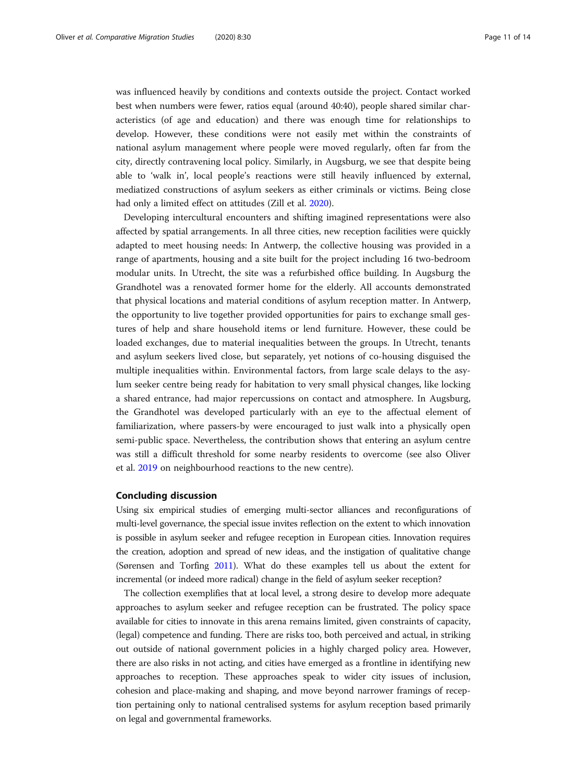was influenced heavily by conditions and contexts outside the project. Contact worked best when numbers were fewer, ratios equal (around 40:40), people shared similar characteristics (of age and education) and there was enough time for relationships to develop. However, these conditions were not easily met within the constraints of national asylum management where people were moved regularly, often far from the city, directly contravening local policy. Similarly, in Augsburg, we see that despite being able to 'walk in', local people's reactions were still heavily influenced by external, mediatized constructions of asylum seekers as either criminals or victims. Being close had only a limited effect on attitudes (Zill et al. [2020\)](#page-13-0).

Developing intercultural encounters and shifting imagined representations were also affected by spatial arrangements. In all three cities, new reception facilities were quickly adapted to meet housing needs: In Antwerp, the collective housing was provided in a range of apartments, housing and a site built for the project including 16 two-bedroom modular units. In Utrecht, the site was a refurbished office building. In Augsburg the Grandhotel was a renovated former home for the elderly. All accounts demonstrated that physical locations and material conditions of asylum reception matter. In Antwerp, the opportunity to live together provided opportunities for pairs to exchange small gestures of help and share household items or lend furniture. However, these could be loaded exchanges, due to material inequalities between the groups. In Utrecht, tenants and asylum seekers lived close, but separately, yet notions of co-housing disguised the multiple inequalities within. Environmental factors, from large scale delays to the asylum seeker centre being ready for habitation to very small physical changes, like locking a shared entrance, had major repercussions on contact and atmosphere. In Augsburg, the Grandhotel was developed particularly with an eye to the affectual element of familiarization, where passers-by were encouraged to just walk into a physically open semi-public space. Nevertheless, the contribution shows that entering an asylum centre was still a difficult threshold for some nearby residents to overcome (see also Oliver et al. [2019](#page-13-0) on neighbourhood reactions to the new centre).

### Concluding discussion

Using six empirical studies of emerging multi-sector alliances and reconfigurations of multi-level governance, the special issue invites reflection on the extent to which innovation is possible in asylum seeker and refugee reception in European cities. Innovation requires the creation, adoption and spread of new ideas, and the instigation of qualitative change (Sørensen and Torfing [2011\)](#page-13-0). What do these examples tell us about the extent for incremental (or indeed more radical) change in the field of asylum seeker reception?

The collection exemplifies that at local level, a strong desire to develop more adequate approaches to asylum seeker and refugee reception can be frustrated. The policy space available for cities to innovate in this arena remains limited, given constraints of capacity, (legal) competence and funding. There are risks too, both perceived and actual, in striking out outside of national government policies in a highly charged policy area. However, there are also risks in not acting, and cities have emerged as a frontline in identifying new approaches to reception. These approaches speak to wider city issues of inclusion, cohesion and place-making and shaping, and move beyond narrower framings of reception pertaining only to national centralised systems for asylum reception based primarily on legal and governmental frameworks.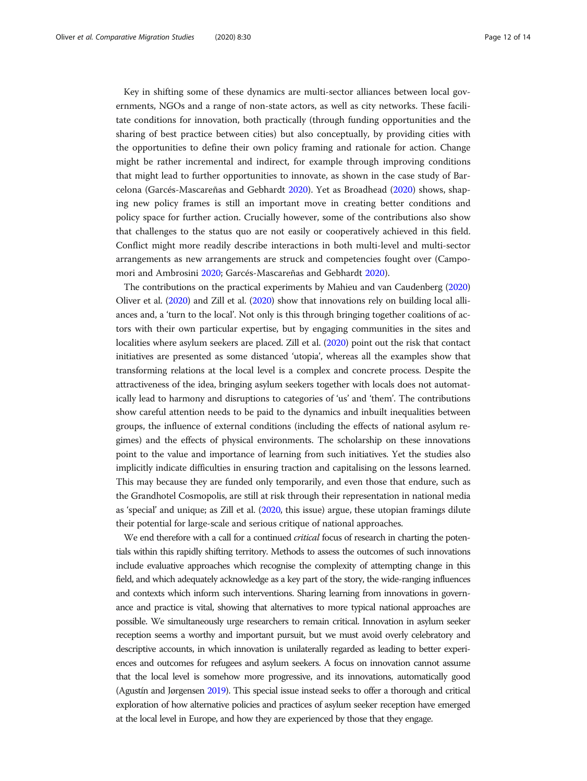Key in shifting some of these dynamics are multi-sector alliances between local governments, NGOs and a range of non-state actors, as well as city networks. These facilitate conditions for innovation, both practically (through funding opportunities and the sharing of best practice between cities) but also conceptually, by providing cities with the opportunities to define their own policy framing and rationale for action. Change might be rather incremental and indirect, for example through improving conditions that might lead to further opportunities to innovate, as shown in the case study of Barcelona (Garcés-Mascareñas and Gebhardt [2020](#page-12-0)). Yet as Broadhead [\(2020\)](#page-12-0) shows, shaping new policy frames is still an important move in creating better conditions and policy space for further action. Crucially however, some of the contributions also show that challenges to the status quo are not easily or cooperatively achieved in this field. Conflict might more readily describe interactions in both multi-level and multi-sector arrangements as new arrangements are struck and competencies fought over (Campomori and Ambrosini [2020;](#page-12-0) Garcés-Mascareñas and Gebhardt [2020](#page-12-0)).

The contributions on the practical experiments by Mahieu and van Caudenberg [\(2020](#page-13-0)) Oliver et al. [\(2020](#page-13-0)) and Zill et al. [\(2020](#page-13-0)) show that innovations rely on building local alliances and, a 'turn to the local'. Not only is this through bringing together coalitions of actors with their own particular expertise, but by engaging communities in the sites and localities where asylum seekers are placed. Zill et al. [\(2020\)](#page-13-0) point out the risk that contact initiatives are presented as some distanced 'utopia', whereas all the examples show that transforming relations at the local level is a complex and concrete process. Despite the attractiveness of the idea, bringing asylum seekers together with locals does not automatically lead to harmony and disruptions to categories of 'us' and 'them'. The contributions show careful attention needs to be paid to the dynamics and inbuilt inequalities between groups, the influence of external conditions (including the effects of national asylum regimes) and the effects of physical environments. The scholarship on these innovations point to the value and importance of learning from such initiatives. Yet the studies also implicitly indicate difficulties in ensuring traction and capitalising on the lessons learned. This may because they are funded only temporarily, and even those that endure, such as the Grandhotel Cosmopolis, are still at risk through their representation in national media as 'special' and unique; as Zill et al. [\(2020,](#page-13-0) this issue) argue, these utopian framings dilute their potential for large-scale and serious critique of national approaches.

We end therefore with a call for a continued *critical* focus of research in charting the potentials within this rapidly shifting territory. Methods to assess the outcomes of such innovations include evaluative approaches which recognise the complexity of attempting change in this field, and which adequately acknowledge as a key part of the story, the wide-ranging influences and contexts which inform such interventions. Sharing learning from innovations in governance and practice is vital, showing that alternatives to more typical national approaches are possible. We simultaneously urge researchers to remain critical. Innovation in asylum seeker reception seems a worthy and important pursuit, but we must avoid overly celebratory and descriptive accounts, in which innovation is unilaterally regarded as leading to better experiences and outcomes for refugees and asylum seekers. A focus on innovation cannot assume that the local level is somehow more progressive, and its innovations, automatically good (Agustín and Jørgensen [2019](#page-12-0)). This special issue instead seeks to offer a thorough and critical exploration of how alternative policies and practices of asylum seeker reception have emerged at the local level in Europe, and how they are experienced by those that they engage.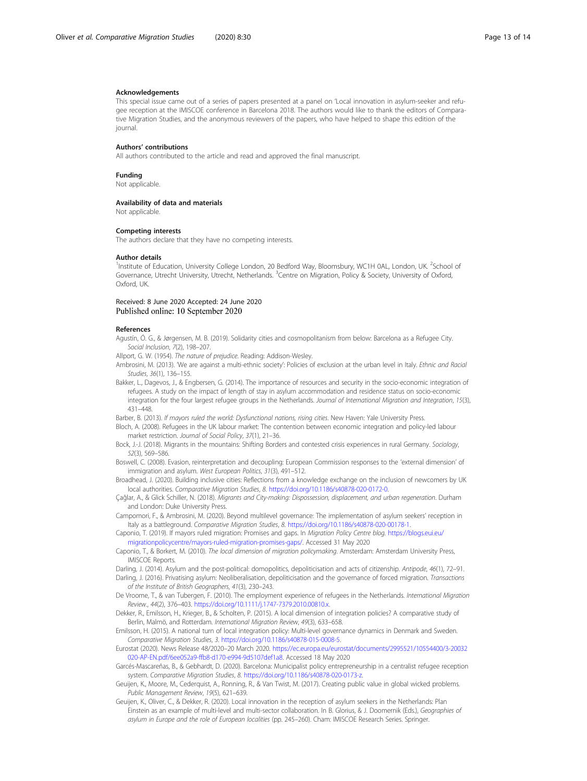#### <span id="page-12-0"></span>Acknowledgements

This special issue came out of a series of papers presented at a panel on 'Local innovation in asylum-seeker and refugee reception at the IMISCOE conference in Barcelona 2018. The authors would like to thank the editors of Comparative Migration Studies, and the anonymous reviewers of the papers, who have helped to shape this edition of the journal.

#### Authors' contributions

All authors contributed to the article and read and approved the final manuscript.

Funding

Not applicable.

#### Availability of data and materials

Not applicable.

#### Competing interests

The authors declare that they have no competing interests.

#### Author details

<sup>1</sup>Institute of Education, University College London, 20 Bedford Way, Bloomsbury, WC1H 0AL, London, UK. <sup>2</sup>School of Governance, Utrecht University, Utrecht, Netherlands. <sup>3</sup>Centre on Migration, Policy & Society, University of Oxford, Oxford, UK.

#### Received: 8 June 2020 Accepted: 24 June 2020 Published online: 10 September 2020

#### References

Agustín, Ó. G., & Jørgensen, M. B. (2019). Solidarity cities and cosmopolitanism from below: Barcelona as a Refugee City. Social Inclusion, 7(2), 198-207.

Allport, G. W. (1954). The nature of prejudice. Reading: Addison-Wesley.

- Ambrosini, M. (2013). 'We are against a multi-ethnic society': Policies of exclusion at the urban level in Italy. Ethnic and Racial Studies, 36(1), 136–155.
- Bakker, L., Dagevos, J., & Engbersen, G. (2014). The importance of resources and security in the socio-economic integration of refugees. A study on the impact of length of stay in asylum accommodation and residence status on socio-economic integration for the four largest refugee groups in the Netherlands. Journal of International Migration and Integration, 15(3), 431–448.

Barber, B. (2013). If mayors ruled the world: Dysfunctional nations, rising cities. New Haven: Yale University Press.

Bloch, A. (2008). Refugees in the UK labour market: The contention between economic integration and policy-led labour market restriction. Journal of Social Policy, 37(1), 21–36.

Bock, J.-J. (2018). Migrants in the mountains: Shifting Borders and contested crisis experiences in rural Germany. Sociology, 52(3), 569–586.

Boswell, C. (2008). Evasion, reinterpretation and decoupling: European Commission responses to the 'external dimension' of immigration and asylum. West European Politics, 31(3), 491–512.

Broadhead, J. (2020). Building inclusive cities: Reflections from a knowledge exchange on the inclusion of newcomers by UK local authorities. Comparative Migration Studies, 8. <https://doi.org/10.1186/s40878-020-0172-0>.

Çağlar, A., & Glick Schiller, N. (2018). Migrants and City-making: Dispossession, displacement, and urban regeneration. Durham and London: Duke University Press.

Campomori, F., & Ambrosini, M. (2020). Beyond multilevel governance: The implementation of asylum seekers' reception in Italy as a battleground. Comparative Migration Studies, 8. [https://doi.org/10.1186/s40878-020-00178-1.](https://doi.org/10.1186/s40878-020-00178-1)

- Caponio, T. (2019). If mayors ruled migration: Promises and gaps. In Migration Policy Centre blog. [https://blogs.eui.eu/](https://blogs.eui.eu/migrationpolicycentre/mayors-ruled-migration-promises-gaps/) [migrationpolicycentre/mayors-ruled-migration-promises-gaps/.](https://blogs.eui.eu/migrationpolicycentre/mayors-ruled-migration-promises-gaps/) Accessed 31 May 2020
- Caponio, T., & Borkert, M. (2010). The local dimension of migration policymaking. Amsterdam: Amsterdam University Press, IMISCOE Reports.

Darling, J. (2014). Asylum and the post-political: domopolitics, depoliticisation and acts of citizenship. Antipode, 46(1), 72–91. Darling, J. (2016). Privatising asylum: Neoliberalisation, depoliticisation and the governance of forced migration. Transactions

of the Institute of British Geographers, 41(3), 230–243. De Vroome, T., & van Tubergen, F. (2010). The employment experience of refugees in the Netherlands. International Migration

Review., 44(2), 376–403. [https://doi.org/10.1111/j.1747-7379.2010.00810.x.](https://doi.org/10.1111/j.1747-7379.2010.00810.x)

Dekker, R., Emilsson, H., Krieger, B., & Scholten, P. (2015). A local dimension of integration policies? A comparative study of Berlin, Malmö, and Rotterdam. International Migration Review, 49(3), 633–658.

Emilsson, H. (2015). A national turn of local integration policy: Multi-level governance dynamics in Denmark and Sweden. Comparative Migration Studies, 3. <https://doi.org/10.1186/s40878-015-0008-5>.

Eurostat (2020). News Release 48/2020–20 March 2020. [https://ec.europa.eu/eurostat/documents/2995521/10554400/3-20032](https://ec.europa.eu/eurostat/documents/2995521/10554400/3-20032020-AP-EN.pdf/6ee052a9-ffb8-d170-e994-9d5107def1a8) [020-AP-EN.pdf/6ee052a9-ffb8-d170-e994-9d5107def1a8.](https://ec.europa.eu/eurostat/documents/2995521/10554400/3-20032020-AP-EN.pdf/6ee052a9-ffb8-d170-e994-9d5107def1a8) Accessed 18 May 2020

Garcés-Mascareñas, B., & Gebhardt, D. (2020). Barcelona: Municipalist policy entrepreneurship in a centralist refugee reception system. Comparative Migration Studies, 8. <https://doi.org/10.1186/s40878-020-0173-z>.

Geuijen, K., Moore, M., Cederquist, A., Ronning, R., & Van Twist, M. (2017). Creating public value in global wicked problems. Public Management Review, 19(5), 621–639.

Geuijen, K., Oliver, C., & Dekker, R. (2020). Local innovation in the reception of asylum seekers in the Netherlands: Plan Einstein as an example of multi-level and multi-sector collaboration. In B. Glorius, & J. Doomernik (Eds.), Geographies of asylum in Europe and the role of European localities (pp. 245–260). Cham: IMISCOE Research Series. Springer.